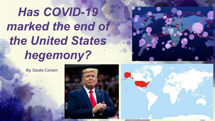# *Has COVID-19 marked the end of the United States hegemony?*



By Soule Coram



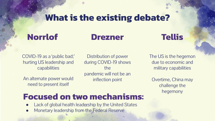#### **What is the existing debate?**

#### **Norrlof**

#### **Drezner**

### **Tellis**

COVID-19 as a 'public bad;' hurting US leadership and capabilities

An alternate power would need to present itself

Distribution of power during COVID-19 shows the pandemic will not be an inflection point

The US is the hegemon due to economic and military capabilities

Overtime, China may challenge the hegemony

#### **Focused on two mechanisms:**

- Lack of global health leadership by the United States
- Monetary leadership from the Federal Reserve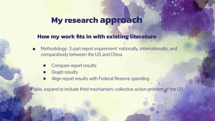#### **My research approach**

#### **How my work fits in with existing literature**

- Methodology: 3-part report experiment: nationally, internationally, and comparatively between the US and China
	- Compare report results
	- Graph results
	- Align report results with Federal Reserve spending

If able, expand to include third mechanism: collective action problem of the US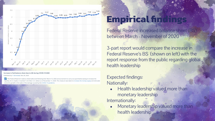

#### Increase in Fed balance sheet due to OE during COVID-19 2020

Published by F. Norrestad, Nov 24, 2020

Tre The Federal Reserve's balance sheet ballooned following their March 15, 2020 announcement to carry out quantitative easing to increase the liquidity of U.S. banks. It reached 7.24 trillion U.S. dollars as of November 17, 2020. This measure was taken to increase the money : economic growth in the wake of the damage caused by the COVID-19 pandemic

## **Empirical findit**

Federal Reserve increased balance sheet (BS) between March - November of 2020

3-part report would compare the increase in Federal Reserve's BS (shown on left) with the report response from the public regarding global health leadership

#### Expected findings: Nationally:

- **Health leadership valued more than** monetary leadership Internationally:
	- Monetary leadership valued more than health leadership